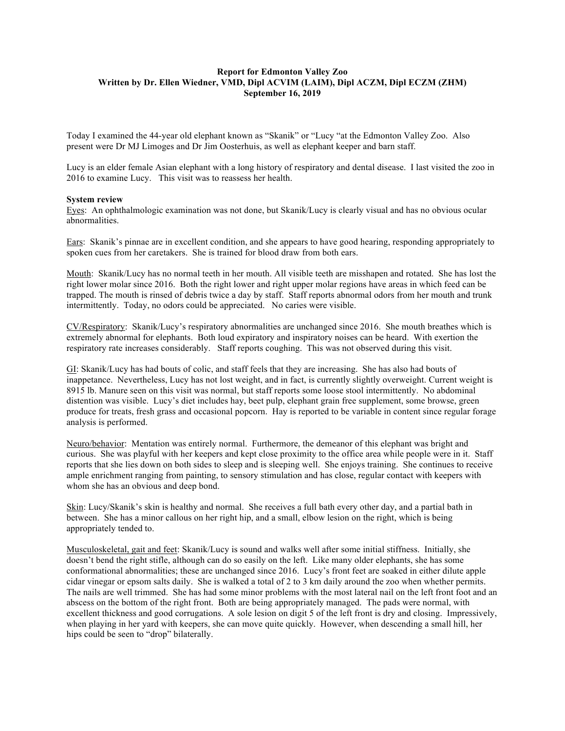# **Report for Edmonton Valley Zoo Written by Dr. Ellen Wiedner, VMD, Dipl ACVIM (LAIM), Dipl ACZM, Dipl ECZM (ZHM) September 16, 2019**

Today I examined the 44-year old elephant known as "Skanik" or "Lucy "at the Edmonton Valley Zoo. Also present were Dr MJ Limoges and Dr Jim Oosterhuis, as well as elephant keeper and barn staff.

Lucy is an elder female Asian elephant with a long history of respiratory and dental disease. I last visited the zoo in 2016 to examine Lucy. This visit was to reassess her health.

#### **System review**

Eyes: An ophthalmologic examination was not done, but Skanik/Lucy is clearly visual and has no obvious ocular abnormalities.

Ears: Skanik's pinnae are in excellent condition, and she appears to have good hearing, responding appropriately to spoken cues from her caretakers. She is trained for blood draw from both ears.

Mouth: Skanik/Lucy has no normal teeth in her mouth. All visible teeth are misshapen and rotated. She has lost the right lower molar since 2016. Both the right lower and right upper molar regions have areas in which feed can be trapped. The mouth is rinsed of debris twice a day by staff. Staff reports abnormal odors from her mouth and trunk intermittently. Today, no odors could be appreciated. No caries were visible.

CV/Respiratory: Skanik/Lucy's respiratory abnormalities are unchanged since 2016. She mouth breathes which is extremely abnormal for elephants. Both loud expiratory and inspiratory noises can be heard. With exertion the respiratory rate increases considerably. Staff reports coughing. This was not observed during this visit.

GI: Skanik/Lucy has had bouts of colic, and staff feels that they are increasing. She has also had bouts of inappetance. Nevertheless, Lucy has not lost weight, and in fact, is currently slightly overweight. Current weight is 8915 lb. Manure seen on this visit was normal, but staff reports some loose stool intermittently. No abdominal distention was visible. Lucy's diet includes hay, beet pulp, elephant grain free supplement, some browse, green produce for treats, fresh grass and occasional popcorn. Hay is reported to be variable in content since regular forage analysis is performed.

Neuro/behavior: Mentation was entirely normal. Furthermore, the demeanor of this elephant was bright and curious. She was playful with her keepers and kept close proximity to the office area while people were in it. Staff reports that she lies down on both sides to sleep and is sleeping well. She enjoys training. She continues to receive ample enrichment ranging from painting, to sensory stimulation and has close, regular contact with keepers with whom she has an obvious and deep bond.

Skin: Lucy/Skanik's skin is healthy and normal. She receives a full bath every other day, and a partial bath in between. She has a minor callous on her right hip, and a small, elbow lesion on the right, which is being appropriately tended to.

Musculoskeletal, gait and feet: Skanik/Lucy is sound and walks well after some initial stiffness. Initially, she doesn't bend the right stifle, although can do so easily on the left. Like many older elephants, she has some conformational abnormalities; these are unchanged since 2016. Lucy's front feet are soaked in either dilute apple cidar vinegar or epsom salts daily. She is walked a total of 2 to 3 km daily around the zoo when whether permits. The nails are well trimmed. She has had some minor problems with the most lateral nail on the left front foot and an abscess on the bottom of the right front. Both are being appropriately managed. The pads were normal, with excellent thickness and good corrugations. A sole lesion on digit 5 of the left front is dry and closing. Impressively, when playing in her yard with keepers, she can move quite quickly. However, when descending a small hill, her hips could be seen to "drop" bilaterally.